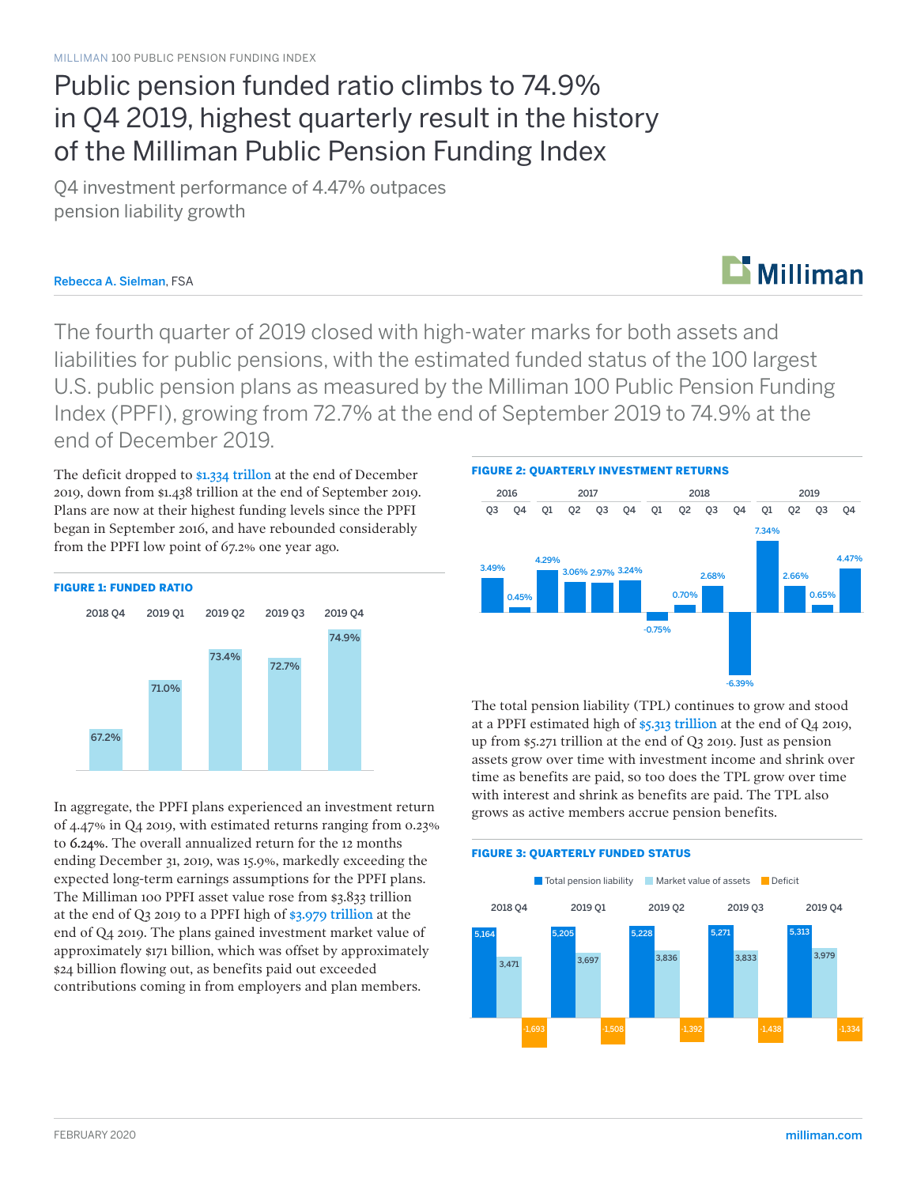## Public pension funded ratio climbs to 74.9% in Q4 2019, highest quarterly result in the history of the Milliman Public Pension Funding Index

Q4 investment performance of 4.47% outpaces pension liability growth

### Rebecca A. Sielman, FSA

### The fourth quarter of 2019 closed with high-water marks for both assets and liabilities for public pensions, with the estimated funded status of the 100 largest U.S. public pension plans as measured by the Milliman 100 Public Pension Funding Index (PPFI), growing from 72.7% at the end of September 2019 to 74.9% at the end of December 2019.

The deficit dropped to \$1.334 trillon at the end of December 2019, down from \$1.438 trillion at the end of September 2019. Plans are now at their highest funding levels since the PPFI began in September 2016, and have rebounded considerably from the PPFI low point of 67.2% one year ago.



In aggregate, the PPFI plans experienced an investment return of 4.47% in Q4 2019, with estimated returns ranging from 0.23% to 6.24%. The overall annualized return for the 12 months ending December 31, 2019, was 15.9%, markedly exceeding the expected long-term earnings assumptions for the PPFI plans. The Milliman 100 PPFI asset value rose from \$3.833 trillion at the end of Q3 2019 to a PPFI high of \$3.979 trillion at the end of Q4 2019. The plans gained investment market value of approximately \$171 billion, which was offset by approximately \$24 billion flowing out, as benefits paid out exceeded contributions coming in from employers and plan members.

FIGURE 2: QUARTERLY INVESTMENT RETURNS



 $\mathbf{\mathbf{\Sigma}}$  Milliman

The total pension liability (TPL) continues to grow and stood at a PPFI estimated high of \$5.313 trillion at the end of Q4 2019, up from \$5.271 trillion at the end of Q3 2019. Just as pension assets grow over time with investment income and shrink over time as benefits are paid, so too does the TPL grow over time with interest and shrink as benefits are paid. The TPL also grows as active members accrue pension benefits.